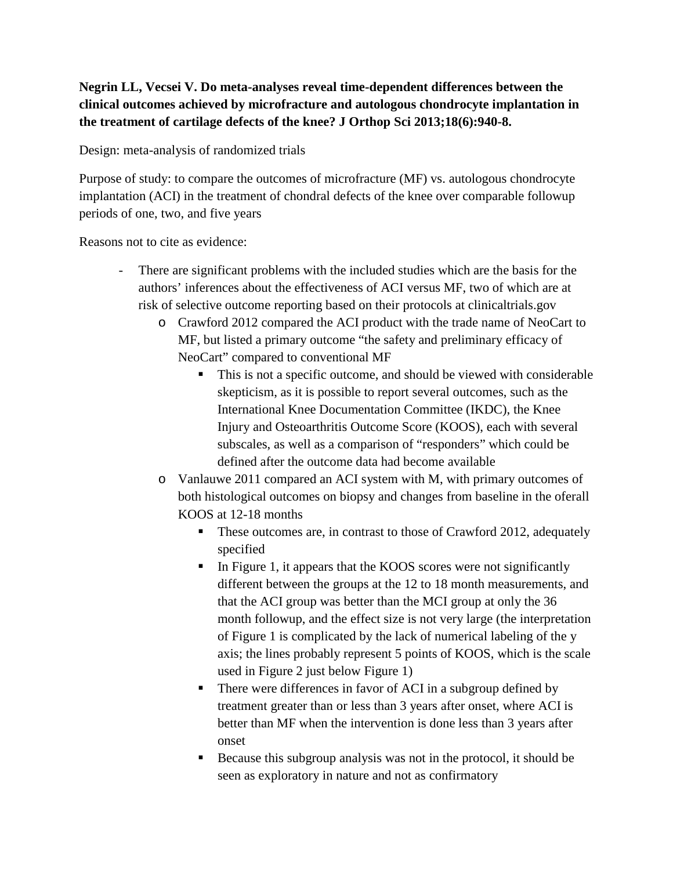## **Negrin LL, Vecsei V. Do meta-analyses reveal time-dependent differences between the clinical outcomes achieved by microfracture and autologous chondrocyte implantation in the treatment of cartilage defects of the knee? J Orthop Sci 2013;18(6):940-8.**

Design: meta-analysis of randomized trials

Purpose of study: to compare the outcomes of microfracture (MF) vs. autologous chondrocyte implantation (ACI) in the treatment of chondral defects of the knee over comparable followup periods of one, two, and five years

Reasons not to cite as evidence:

- There are significant problems with the included studies which are the basis for the authors' inferences about the effectiveness of ACI versus MF, two of which are at risk of selective outcome reporting based on their protocols at clinicaltrials.gov
	- o Crawford 2012 compared the ACI product with the trade name of NeoCart to MF, but listed a primary outcome "the safety and preliminary efficacy of NeoCart" compared to conventional MF
		- This is not a specific outcome, and should be viewed with considerable skepticism, as it is possible to report several outcomes, such as the International Knee Documentation Committee (IKDC), the Knee Injury and Osteoarthritis Outcome Score (KOOS), each with several subscales, as well as a comparison of "responders" which could be defined after the outcome data had become available
	- o Vanlauwe 2011 compared an ACI system with M, with primary outcomes of both histological outcomes on biopsy and changes from baseline in the oferall KOOS at 12-18 months
		- These outcomes are, in contrast to those of Crawford 2012, adequately specified
		- In Figure 1, it appears that the KOOS scores were not significantly different between the groups at the 12 to 18 month measurements, and that the ACI group was better than the MCI group at only the 36 month followup, and the effect size is not very large (the interpretation of Figure 1 is complicated by the lack of numerical labeling of the y axis; the lines probably represent 5 points of KOOS, which is the scale used in Figure 2 just below Figure 1)
		- There were differences in favor of ACI in a subgroup defined by treatment greater than or less than 3 years after onset, where ACI is better than MF when the intervention is done less than 3 years after onset
		- Because this subgroup analysis was not in the protocol, it should be seen as exploratory in nature and not as confirmatory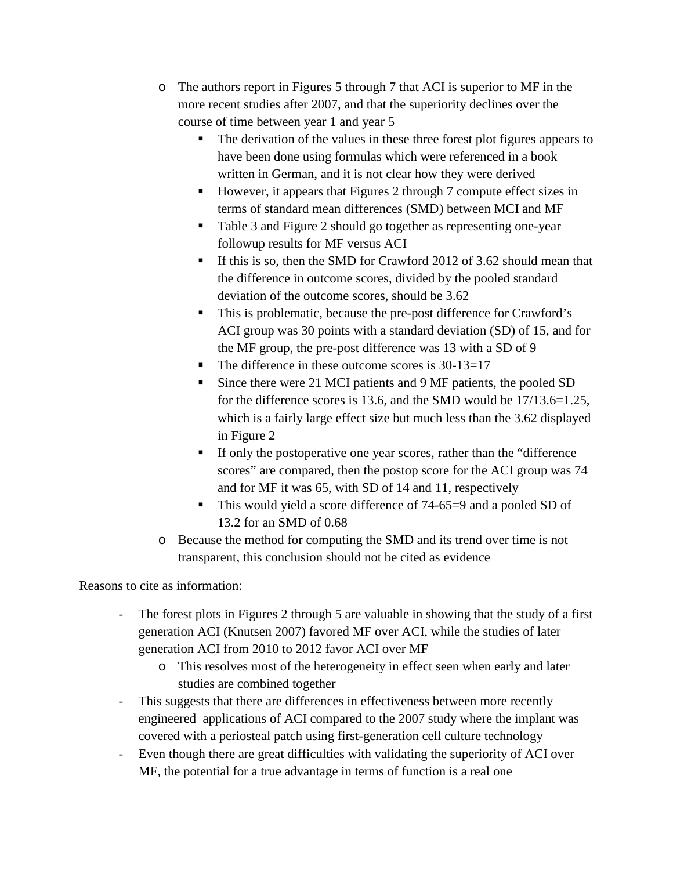- o The authors report in Figures 5 through 7 that ACI is superior to MF in the more recent studies after 2007, and that the superiority declines over the course of time between year 1 and year 5
	- The derivation of the values in these three forest plot figures appears to have been done using formulas which were referenced in a book written in German, and it is not clear how they were derived
	- However, it appears that Figures 2 through 7 compute effect sizes in terms of standard mean differences (SMD) between MCI and MF
	- Table 3 and Figure 2 should go together as representing one-year followup results for MF versus ACI
	- If this is so, then the SMD for Crawford 2012 of 3.62 should mean that the difference in outcome scores, divided by the pooled standard deviation of the outcome scores, should be 3.62
	- This is problematic, because the pre-post difference for Crawford's ACI group was 30 points with a standard deviation (SD) of 15, and for the MF group, the pre-post difference was 13 with a SD of 9
	- $\blacksquare$  The difference in these outcome scores is 30-13=17
	- Since there were 21 MCI patients and 9 MF patients, the pooled SD for the difference scores is 13.6, and the SMD would be 17/13.6=1.25, which is a fairly large effect size but much less than the 3.62 displayed in Figure 2
	- If only the postoperative one year scores, rather than the "difference" scores" are compared, then the postop score for the ACI group was 74 and for MF it was 65, with SD of 14 and 11, respectively
	- This would yield a score difference of 74-65=9 and a pooled SD of 13.2 for an SMD of 0.68
- o Because the method for computing the SMD and its trend over time is not transparent, this conclusion should not be cited as evidence

Reasons to cite as information:

- The forest plots in Figures 2 through 5 are valuable in showing that the study of a first generation ACI (Knutsen 2007) favored MF over ACI, while the studies of later generation ACI from 2010 to 2012 favor ACI over MF
	- o This resolves most of the heterogeneity in effect seen when early and later studies are combined together
- This suggests that there are differences in effectiveness between more recently engineered applications of ACI compared to the 2007 study where the implant was covered with a periosteal patch using first-generation cell culture technology
- Even though there are great difficulties with validating the superiority of ACI over MF, the potential for a true advantage in terms of function is a real one